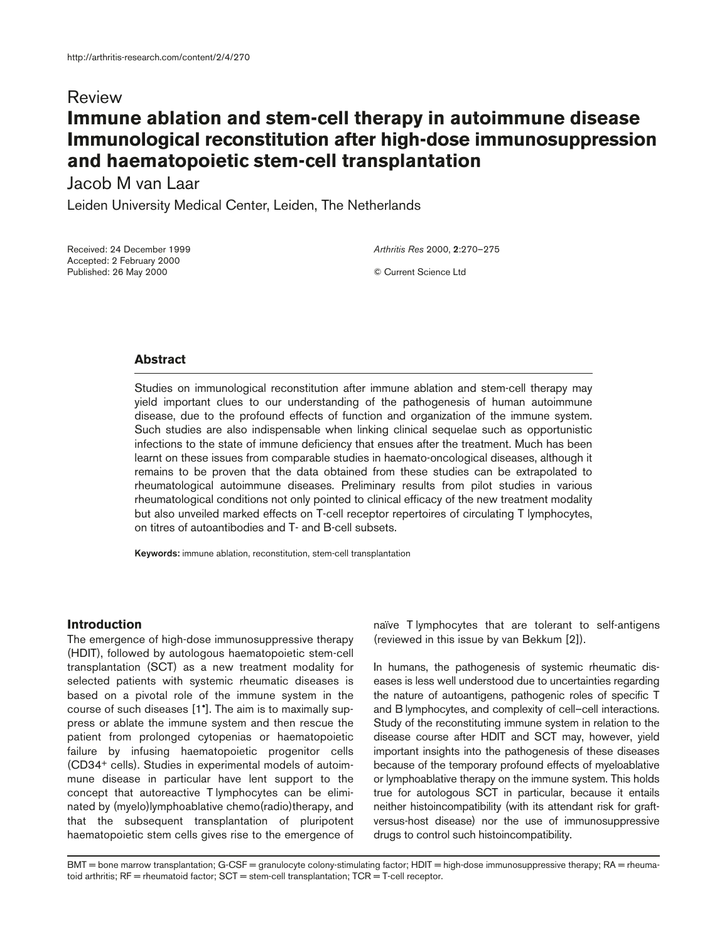# Review

# **Immune ablation and stem-cell therapy in autoimmune disease Immunological reconstitution after high-dose immunosuppression and haematopoietic stem-cell transplantation**

Jacob M van Laar

Leiden University Medical Center, Leiden, The Netherlands

Received: 24 December 1999 Accepted: 2 February 2000 Published: 26 May 2000

*Arthritis Res* 2000, **2**:270–275

© Current Science Ltd

### **Abstract**

Studies on immunological reconstitution after immune ablation and stem-cell therapy may yield important clues to our understanding of the pathogenesis of human autoimmune disease, due to the profound effects of function and organization of the immune system. Such studies are also indispensable when linking clinical sequelae such as opportunistic infections to the state of immune deficiency that ensues after the treatment. Much has been learnt on these issues from comparable studies in haemato-oncological diseases, although it remains to be proven that the data obtained from these studies can be extrapolated to rheumatological autoimmune diseases. Preliminary results from pilot studies in various rheumatological conditions not only pointed to clinical efficacy of the new treatment modality but also unveiled marked effects on T-cell receptor repertoires of circulating T lymphocytes, on titres of autoantibodies and T- and B-cell subsets.

**Keywords:** immune ablation, reconstitution, stem-cell transplantation

#### **Introduction**

The emergence of high-dose immunosuppressive therapy (HDIT), followed by autologous haematopoietic stem-cell transplantation (SCT) as a new treatment modality for selected patients with systemic rheumatic diseases is based on a pivotal role of the immune system in the course of such diseases [1•]. The aim is to maximally suppress or ablate the immune system and then rescue the patient from prolonged cytopenias or haematopoietic failure by infusing haematopoietic progenitor cells (CD34+ cells). Studies in experimental models of autoimmune disease in particular have lent support to the concept that autoreactive T lymphocytes can be eliminated by (myelo)lymphoablative chemo(radio)therapy, and that the subsequent transplantation of pluripotent haematopoietic stem cells gives rise to the emergence of naïve T lymphocytes that are tolerant to self-antigens (reviewed in this issue by van Bekkum [2]).

In humans, the pathogenesis of systemic rheumatic diseases is less well understood due to uncertainties regarding the nature of autoantigens, pathogenic roles of specific T and B lymphocytes, and complexity of cell–cell interactions. Study of the reconstituting immune system in relation to the disease course after HDIT and SCT may, however, yield important insights into the pathogenesis of these diseases because of the temporary profound effects of myeloablative or lymphoablative therapy on the immune system. This holds true for autologous SCT in particular, because it entails neither histoincompatibility (with its attendant risk for graftversus-host disease) nor the use of immunosuppressive drugs to control such histoincompatibility.

BMT = bone marrow transplantation; G-CSF = granulocyte colony-stimulating factor; HDIT = high-dose immunosuppressive therapy; RA = rheumatoid arthritis; RF = rheumatoid factor; SCT = stem-cell transplantation; TCR = T-cell receptor.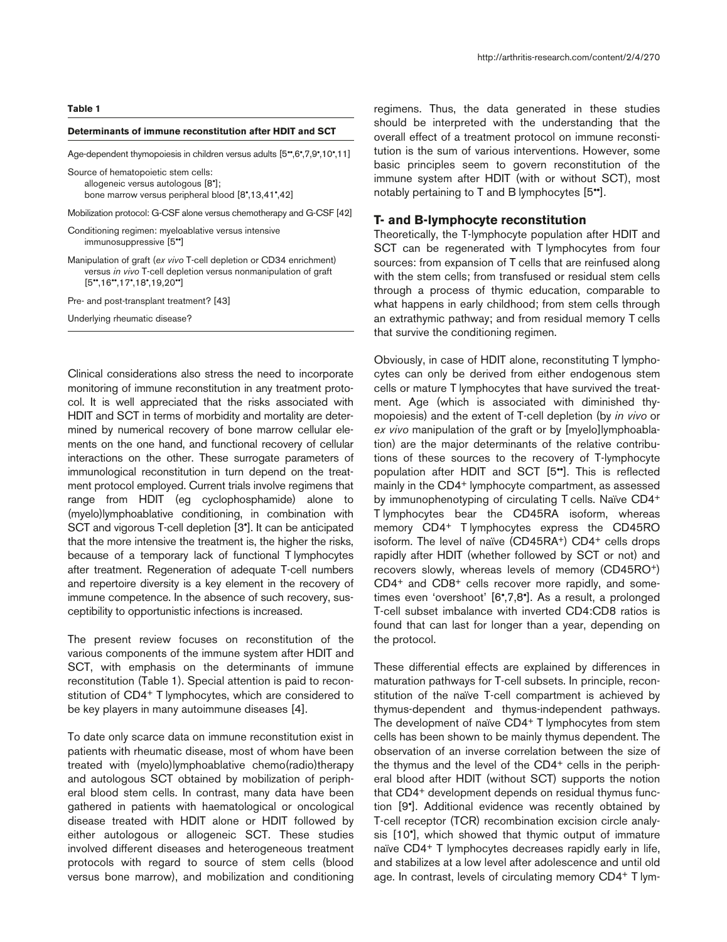#### **Determinants of immune reconstitution after HDIT and SCT**

Age-dependent thymopoiesis in children versus adults [5",6",7,9",10",11]

Source of hematopoietic stem cells: allogeneic versus autologous [8•]; bone marrow versus peripheral blood [8°,13,41°,42]

Mobilization protocol: G-CSF alone versus chemotherapy and G-CSF [42]

Conditioning regimen: myeloablative versus intensive immunosuppressive [5••]

Manipulation of graft (*ex vivo* T-cell depletion or CD34 enrichment) versus *in vivo* T-cell depletion versus nonmanipulation of graft [5••,16••,17•,18•,19,20••]

Pre- and post-transplant treatment? [43]

Underlying rheumatic disease?

Clinical considerations also stress the need to incorporate monitoring of immune reconstitution in any treatment protocol. It is well appreciated that the risks associated with HDIT and SCT in terms of morbidity and mortality are determined by numerical recovery of bone marrow cellular elements on the one hand, and functional recovery of cellular interactions on the other. These surrogate parameters of immunological reconstitution in turn depend on the treatment protocol employed. Current trials involve regimens that range from HDIT (eg cyclophosphamide) alone to (myelo)lymphoablative conditioning, in combination with SCT and vigorous T-cell depletion [3•]. It can be anticipated that the more intensive the treatment is, the higher the risks, because of a temporary lack of functional T lymphocytes after treatment. Regeneration of adequate T-cell numbers and repertoire diversity is a key element in the recovery of immune competence. In the absence of such recovery, susceptibility to opportunistic infections is increased.

The present review focuses on reconstitution of the various components of the immune system after HDIT and SCT, with emphasis on the determinants of immune reconstitution (Table 1). Special attention is paid to reconstitution of CD4+ T lymphocytes, which are considered to be key players in many autoimmune diseases [4].

To date only scarce data on immune reconstitution exist in patients with rheumatic disease, most of whom have been treated with (myelo)lymphoablative chemo(radio)therapy and autologous SCT obtained by mobilization of peripheral blood stem cells. In contrast, many data have been gathered in patients with haematological or oncological disease treated with HDIT alone or HDIT followed by either autologous or allogeneic SCT. These studies involved different diseases and heterogeneous treatment protocols with regard to source of stem cells (blood versus bone marrow), and mobilization and conditioning regimens. Thus, the data generated in these studies should be interpreted with the understanding that the overall effect of a treatment protocol on immune reconstitution is the sum of various interventions. However, some basic principles seem to govern reconstitution of the immune system after HDIT (with or without SCT), most notably pertaining to T and B lymphocytes [5••].

#### **T- and B-lymphocyte reconstitution**

Theoretically, the T-lymphocyte population after HDIT and SCT can be regenerated with T lymphocytes from four sources: from expansion of T cells that are reinfused along with the stem cells; from transfused or residual stem cells through a process of thymic education, comparable to what happens in early childhood; from stem cells through an extrathymic pathway; and from residual memory T cells that survive the conditioning regimen.

Obviously, in case of HDIT alone, reconstituting T lymphocytes can only be derived from either endogenous stem cells or mature T lymphocytes that have survived the treatment. Age (which is associated with diminished thymopoiesis) and the extent of T-cell depletion (by *in vivo* or *ex vivo* manipulation of the graft or by [myelo]lymphoablation) are the major determinants of the relative contributions of these sources to the recovery of T-lymphocyte population after HDIT and SCT [5••]. This is reflected mainly in the CD4<sup>+</sup> lymphocyte compartment, as assessed by immunophenotyping of circulating T cells. Naïve CD4+ T lymphocytes bear the CD45RA isoform, whereas memory CD4+ T lymphocytes express the CD45RO isoform. The level of naïve (CD45RA+) CD4+ cells drops rapidly after HDIT (whether followed by SCT or not) and recovers slowly, whereas levels of memory (CD45RO+) CD4+ and CD8+ cells recover more rapidly, and sometimes even 'overshoot' [6•,7,8•]. As a result, a prolonged T-cell subset imbalance with inverted CD4:CD8 ratios is found that can last for longer than a year, depending on the protocol.

These differential effects are explained by differences in maturation pathways for T-cell subsets. In principle, reconstitution of the naïve T-cell compartment is achieved by thymus-dependent and thymus-independent pathways. The development of naïve CD4+ T lymphocytes from stem cells has been shown to be mainly thymus dependent. The observation of an inverse correlation between the size of the thymus and the level of the CD4+ cells in the peripheral blood after HDIT (without SCT) supports the notion that CD4+ development depends on residual thymus function [9•]. Additional evidence was recently obtained by T-cell receptor (TCR) recombination excision circle analysis [10•], which showed that thymic output of immature naïve CD4+ T lymphocytes decreases rapidly early in life, and stabilizes at a low level after adolescence and until old age. In contrast, levels of circulating memory CD4+ T lym-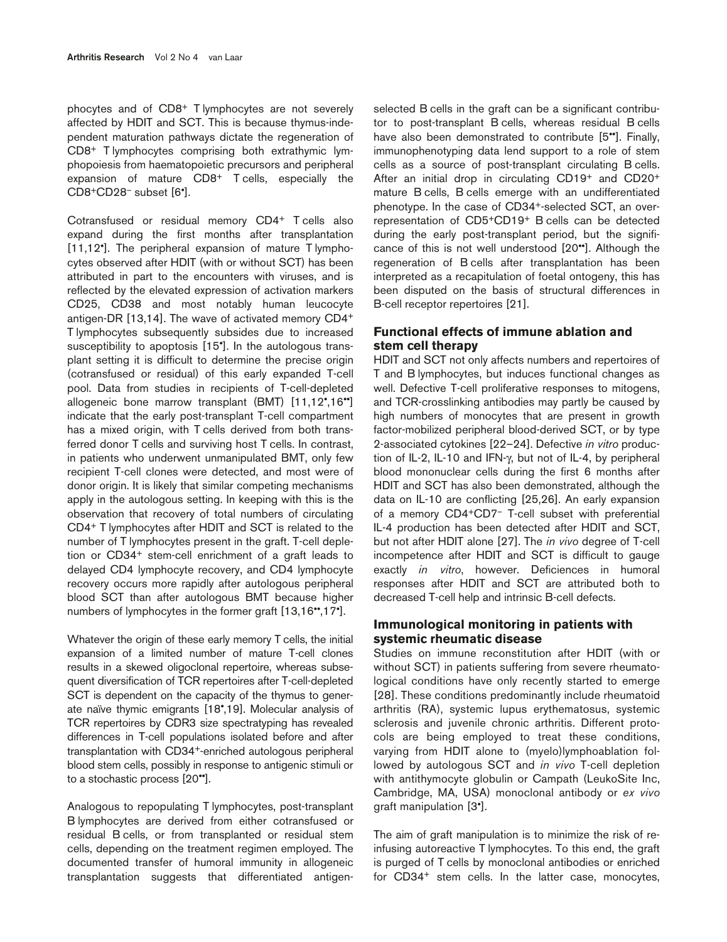phocytes and of CD8+ T lymphocytes are not severely affected by HDIT and SCT. This is because thymus-independent maturation pathways dictate the regeneration of CD8+ T lymphocytes comprising both extrathymic lymphopoiesis from haematopoietic precursors and peripheral expansion of mature CD8+ T cells, especially the CD8+CD28– subset [6•].

Cotransfused or residual memory CD4+ T cells also expand during the first months after transplantation [11,12<sup>°</sup>]. The peripheral expansion of mature T lymphocytes observed after HDIT (with or without SCT) has been attributed in part to the encounters with viruses, and is reflected by the elevated expression of activation markers CD25, CD38 and most notably human leucocyte antigen-DR [13,14]. The wave of activated memory CD4+ T lymphocytes subsequently subsides due to increased susceptibility to apoptosis [15•]. In the autologous transplant setting it is difficult to determine the precise origin (cotransfused or residual) of this early expanded T-cell pool. Data from studies in recipients of T-cell-depleted allogeneic bone marrow transplant (BMT) [11,12•,16••] indicate that the early post-transplant T-cell compartment has a mixed origin, with T cells derived from both transferred donor T cells and surviving host T cells. In contrast, in patients who underwent unmanipulated BMT, only few recipient T-cell clones were detected, and most were of donor origin. It is likely that similar competing mechanisms apply in the autologous setting. In keeping with this is the observation that recovery of total numbers of circulating CD4+ T lymphocytes after HDIT and SCT is related to the number of T lymphocytes present in the graft. T-cell depletion or CD34+ stem-cell enrichment of a graft leads to delayed CD4 lymphocyte recovery, and CD4 lymphocyte recovery occurs more rapidly after autologous peripheral blood SCT than after autologous BMT because higher numbers of lymphocytes in the former graft [13,16<sup>••</sup>,17<sup>°</sup>].

Whatever the origin of these early memory T cells, the initial expansion of a limited number of mature T-cell clones results in a skewed oligoclonal repertoire, whereas subsequent diversification of TCR repertoires after T-cell-depleted SCT is dependent on the capacity of the thymus to generate naïve thymic emigrants [18•,19]. Molecular analysis of TCR repertoires by CDR3 size spectratyping has revealed differences in T-cell populations isolated before and after transplantation with CD34+-enriched autologous peripheral blood stem cells, possibly in response to antigenic stimuli or to a stochastic process [20••].

Analogous to repopulating T lymphocytes, post-transplant B lymphocytes are derived from either cotransfused or residual B cells, or from transplanted or residual stem cells, depending on the treatment regimen employed. The documented transfer of humoral immunity in allogeneic transplantation suggests that differentiated antigenselected B cells in the graft can be a significant contributor to post-transplant B cells, whereas residual B cells have also been demonstrated to contribute [5"]. Finally, immunophenotyping data lend support to a role of stem cells as a source of post-transplant circulating B cells. After an initial drop in circulating CD19+ and CD20+ mature B cells, B cells emerge with an undifferentiated phenotype. In the case of CD34<sup>+</sup>-selected SCT, an overrepresentation of CD5+CD19+ B cells can be detected during the early post-transplant period, but the significance of this is not well understood [20••]. Although the regeneration of B cells after transplantation has been interpreted as a recapitulation of foetal ontogeny, this has been disputed on the basis of structural differences in B-cell receptor repertoires [21].

## **Functional effects of immune ablation and stem cell therapy**

HDIT and SCT not only affects numbers and repertoires of T and B lymphocytes, but induces functional changes as well. Defective T-cell proliferative responses to mitogens, and TCR-crosslinking antibodies may partly be caused by high numbers of monocytes that are present in growth factor-mobilized peripheral blood-derived SCT, or by type 2-associated cytokines [22–24]. Defective *in vitro* production of IL-2, IL-10 and IFN-γ, but not of IL-4, by peripheral blood mononuclear cells during the first 6 months after HDIT and SCT has also been demonstrated, although the data on IL-10 are conflicting [25,26]. An early expansion of a memory CD4+CD7– T-cell subset with preferential IL-4 production has been detected after HDIT and SCT, but not after HDIT alone [27]. The *in vivo* degree of T-cell incompetence after HDIT and SCT is difficult to gauge exactly *in vitro*, however. Deficiences in humoral responses after HDIT and SCT are attributed both to decreased T-cell help and intrinsic B-cell defects.

### **Immunological monitoring in patients with systemic rheumatic disease**

Studies on immune reconstitution after HDIT (with or without SCT) in patients suffering from severe rheumatological conditions have only recently started to emerge [28]. These conditions predominantly include rheumatoid arthritis (RA), systemic lupus erythematosus, systemic sclerosis and juvenile chronic arthritis. Different protocols are being employed to treat these conditions, varying from HDIT alone to (myelo)lymphoablation followed by autologous SCT and *in vivo* T-cell depletion with antithymocyte globulin or Campath (LeukoSite Inc, Cambridge, MA, USA) monoclonal antibody or *ex vivo* graft manipulation [3•].

The aim of graft manipulation is to minimize the risk of reinfusing autoreactive T lymphocytes. To this end, the graft is purged of T cells by monoclonal antibodies or enriched for CD34+ stem cells. In the latter case, monocytes,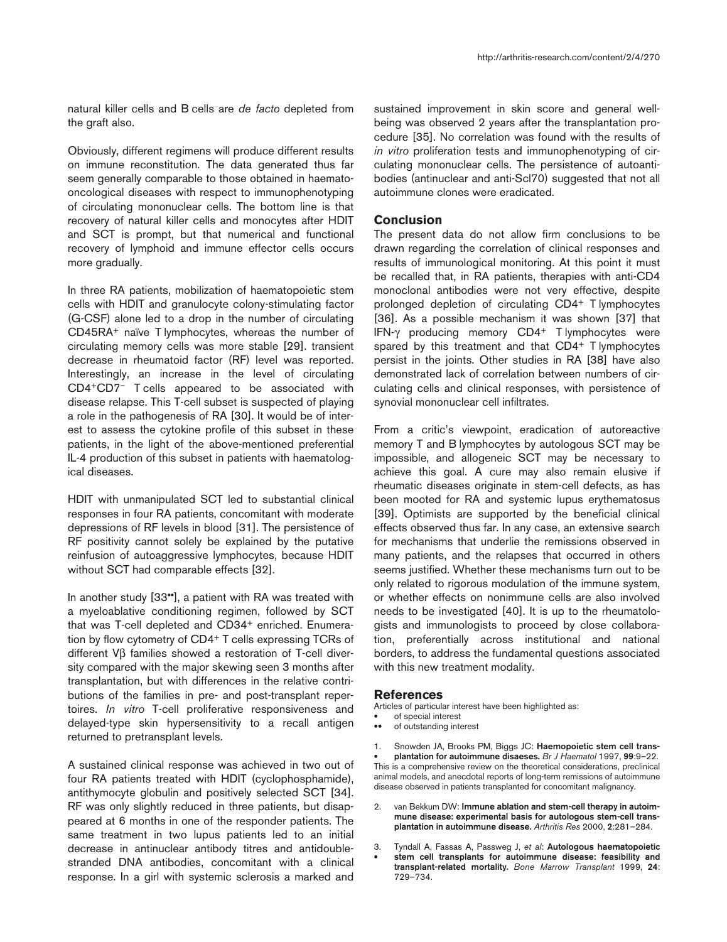natural killer cells and B cells are *de facto* depleted from the graft also.

Obviously, different regimens will produce different results on immune reconstitution. The data generated thus far seem generally comparable to those obtained in haematooncological diseases with respect to immunophenotyping of circulating mononuclear cells. The bottom line is that recovery of natural killer cells and monocytes after HDIT and SCT is prompt, but that numerical and functional recovery of lymphoid and immune effector cells occurs more gradually.

In three RA patients, mobilization of haematopoietic stem cells with HDIT and granulocyte colony-stimulating factor (G-CSF) alone led to a drop in the number of circulating CD45RA+ naïve T lymphocytes, whereas the number of circulating memory cells was more stable [29]. transient decrease in rheumatoid factor (RF) level was reported. Interestingly, an increase in the level of circulating CD4+CD7– T cells appeared to be associated with disease relapse. This T-cell subset is suspected of playing a role in the pathogenesis of RA [30]. It would be of interest to assess the cytokine profile of this subset in these patients, in the light of the above-mentioned preferential IL-4 production of this subset in patients with haematological diseases.

HDIT with unmanipulated SCT led to substantial clinical responses in four RA patients, concomitant with moderate depressions of RF levels in blood [31]. The persistence of RF positivity cannot solely be explained by the putative reinfusion of autoaggressive lymphocytes, because HDIT without SCT had comparable effects [32].

In another study [33••], a patient with RA was treated with a myeloablative conditioning regimen, followed by SCT that was T-cell depleted and CD34+ enriched. Enumeration by flow cytometry of CD4+ T cells expressing TCRs of different Vβ families showed a restoration of T-cell diversity compared with the major skewing seen 3 months after transplantation, but with differences in the relative contributions of the families in pre- and post-transplant repertoires. *In vitro* T-cell proliferative responsiveness and delayed-type skin hypersensitivity to a recall antigen returned to pretransplant levels.

A sustained clinical response was achieved in two out of four RA patients treated with HDIT (cyclophosphamide), antithymocyte globulin and positively selected SCT [34]. RF was only slightly reduced in three patients, but disappeared at 6 months in one of the responder patients. The same treatment in two lupus patients led to an initial decrease in antinuclear antibody titres and antidoublestranded DNA antibodies, concomitant with a clinical response. In a girl with systemic sclerosis a marked and

sustained improvement in skin score and general wellbeing was observed 2 years after the transplantation procedure [35]. No correlation was found with the results of *in vitro* proliferation tests and immunophenotyping of circulating mononuclear cells. The persistence of autoantibodies (antinuclear and anti-Scl70) suggested that not all autoimmune clones were eradicated.

### **Conclusion**

The present data do not allow firm conclusions to be drawn regarding the correlation of clinical responses and results of immunological monitoring. At this point it must be recalled that, in RA patients, therapies with anti-CD4 monoclonal antibodies were not very effective, despite prolonged depletion of circulating CD4+ T lymphocytes [36]. As a possible mechanism it was shown [37] that IFN-γ producing memory CD4+ T lymphocytes were spared by this treatment and that CD4<sup>+</sup> T lymphocytes persist in the joints. Other studies in RA [38] have also demonstrated lack of correlation between numbers of circulating cells and clinical responses, with persistence of synovial mononuclear cell infiltrates.

From a critic's viewpoint, eradication of autoreactive memory T and B lymphocytes by autologous SCT may be impossible, and allogeneic SCT may be necessary to achieve this goal. A cure may also remain elusive if rheumatic diseases originate in stem-cell defects, as has been mooted for RA and systemic lupus erythematosus [39]. Optimists are supported by the beneficial clinical effects observed thus far. In any case, an extensive search for mechanisms that underlie the remissions observed in many patients, and the relapses that occurred in others seems justified. Whether these mechanisms turn out to be only related to rigorous modulation of the immune system, or whether effects on nonimmune cells are also involved needs to be investigated [40]. It is up to the rheumatologists and immunologists to proceed by close collaboration, preferentially across institutional and national borders, to address the fundamental questions associated with this new treatment modality.

#### **References**

Articles of particular interest have been highlighted as:

- of special interest
- of outstanding interest

1. Snowden JA, Brooks PM, Biggs JC: **Haemopoietic stem cell trans-** • **plantation for autoimmune disaeses.** *Br J Haematol* 1997, **99**:9–22. This is a comprehensive review on the theoretical considerations, preclinical animal models, and anecdotal reports of long-term remissions of autoimmune disease observed in patients transplanted for concomitant malignancy.

- 2. van Bekkum DW: **Immune ablation and stem-cell therapy in autoimmune disease: experimental basis for autologous stem-cell transplantation in autoimmune disease.** *Arthritis Res* 2000, **2**:281–284.
- 3. Tyndall A, Fassas A, Passweg J, *et al*: **Autologous haematopoietic**  • **stem cell transplants for autoimmune disease: feasibility and transplant-related mortality.** *Bone Marrow Transplant* 1999, **24**: 729–734.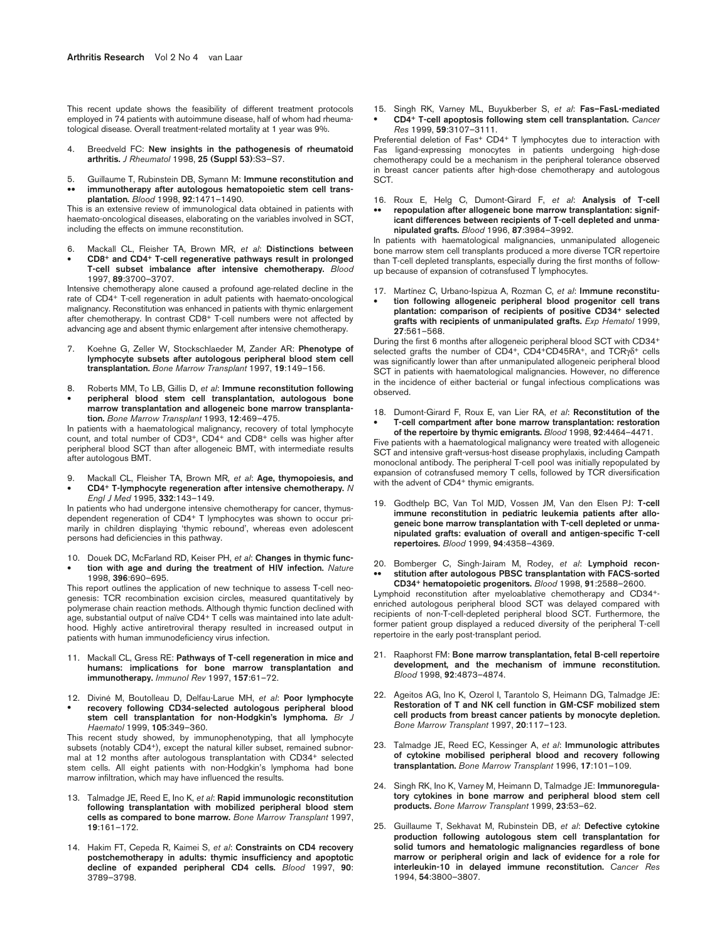This recent update shows the feasibility of different treatment protocols employed in 74 patients with autoimmune disease, half of whom had rheumatological disease. Overall treatment-related mortality at 1 year was 9%.

- 4. Breedveld FC: **New insights in the pathogenesis of rheumatoid arthritis.** *J Rheumatol* 1998, **25 (Suppl 53)**:S3–S7.
- 5. Guillaume T, Rubinstein DB, Symann M: **Immune reconstitution and**  immunotherapy after autologous hematopoietic stem cell trans**plantation.** *Blood* 1998, **92**:1471–1490.

This is an extensive review of immunological data obtained in patients with haemato-oncological diseases, elaborating on the variables involved in SCT, including the effects on immune reconstitution.

- 6. Mackall CL, Fleisher TA, Brown MR, *et al*: **Distinctions between**
- **CD8+ and CD4+ T-cell regenerative pathways result in prolonged T-cell subset imbalance after intensive chemotherapy.** *Blood* 1997, **89**:3700–3707.

Intensive chemotherapy alone caused a profound age-related decline in the rate of CD4+ T-cell regeneration in adult patients with haemato-oncological malignancy. Reconstitution was enhanced in patients with thymic enlargement after chemotherapy. In contrast CD8<sup>+</sup> T-cell numbers were not affected by advancing age and absent thymic enlargement after intensive chemotherapy.

- 7. Koehne G, Zeller W, Stockschlaeder M, Zander AR: **Phenotype of lymphocyte subsets after autologous peripheral blood stem cell transplantation.** *Bone Marrow Transplant* 1997, **19**:149–156.
- 8. Roberts MM, To LB, Gillis D, *et al*: **Immune reconstitution following**
- **peripheral blood stem cell transplantation, autologous bone marrow transplantation and allogeneic bone marrow transplantation.** *Bone Marrow Transplant* 1993, **12**:469–475.

In patients with a haematological malignancy, recovery of total lymphocyte count, and total number of CD3+, CD4+ and CD8+ cells was higher after peripheral blood SCT than after allogeneic BMT, with intermediate results after autologous BMT.

9. Mackall CL, Fleisher TA, Brown MR, *et al*: **Age, thymopoiesis, and**  • **CD4+ T-lymphocyte regeneration after intensive chemotherapy.** *N Engl J Med* 1995, **332**:143–149.

In patients who had undergone intensive chemotherapy for cancer, thymusdependent regeneration of CD4+ T lymphocytes was shown to occur primarily in children displaying 'thymic rebound', whereas even adolescent persons had deficiencies in this pathway.

10. Douek DC, McFarland RD, Keiser PH, *et al*: **Changes in thymic func-** • **tion with age and during the treatment of HIV infection.** *Nature* 1998, **396**:690–695.

This report outlines the application of new technique to assess T-cell neogenesis: TCR recombination excision circles, measured quantitatively by polymerase chain reaction methods. Although thymic function declined with age, substantial output of naïve CD4+ T cells was maintained into late adulthood. Highly active antiretroviral therapy resulted in increased output in patients with human immunodeficiency virus infection.

- 11. Mackall CL, Gress RE: **Pathways of T-cell regeneration in mice and humans: implications for bone marrow transplantation and immunotherapy.** *Immunol Rev* 1997, **157**:61–72.
- 12. Diviné M, Boutolleau D, Delfau-Larue MH, *et al*: **Poor lymphocyte**  • **recovery following CD34-selected autologous peripheral blood stem cell transplantation for non-Hodgkin's lymphoma.** *Br J Haematol* 1999, **105**:349–360.

This recent study showed, by immunophenotyping, that all lymphocyte subsets (notably CD4<sup>+</sup>), except the natural killer subset, remained subnormal at 12 months after autologous transplantation with CD34<sup>+</sup> selected stem cells. All eight patients with non-Hodgkin's lymphoma had bone marrow infiltration, which may have influenced the results.

- 13. Talmadge JE, Reed E, Ino K, *et al*: **Rapid immunologic reconstitution following transplantation with mobilized peripheral blood stem cells as compared to bone marrow.** *Bone Marrow Transplant* 1997, **19**:161–172.
- 14. Hakim FT, Cepeda R, Kaimei S, *et al*: **Constraints on CD4 recovery postchemotherapy in adults: thymic insufficiency and apoptotic decline of expanded peripheral CD4 cells.** *Blood* 1997, **90**: 3789–3798.

15. Singh RK, Varney ML, Buyukberber S, *et al*: **Fas–FasL-mediated**  • **CD4+ T-cell apoptosis following stem cell transplantation.** *Cancer Res* 1999, **59**:3107–3111.

Preferential deletion of Fas<sup>+</sup> CD4<sup>+</sup> T lymphocytes due to interaction with Fas ligand-expressing monocytes in patients undergoing high-dose chemotherapy could be a mechanism in the peripheral tolerance observed in breast cancer patients after high-dose chemotherapy and autologous SCT.

16. Roux E, Helg C, Dumont-Girard F, *et al*: **Analysis of T-cell**  •• **repopulation after allogeneic bone marrow transplantation: significant differences between recipients of T-cell depleted and unmanipulated grafts.** *Blood* 1996, **87**:3984–3992.

In patients with haematological malignancies, unmanipulated allogeneic bone marrow stem cell transplants produced a more diverse TCR repertoire than T-cell depleted transplants, especially during the first months of followup because of expansion of cotransfused T lymphocytes.

17. Martínez C, Urbano-Ispizua A, Rozman C, *et al*: **Immune reconstitu-** • **tion following allogeneic peripheral blood progenitor cell trans plantation: comparison of recipients of positive CD34+ selected grafts with recipients of unmanipulated grafts.** *Exp Hematol* 1999, **27**:561–568.

During the first 6 months after allogeneic peripheral blood SCT with CD34+ selected grafts the number of CD4+, CD4+CD45RA+, and TCRγδ+ cells was significantly lower than after unmanipulated allogeneic peripheral blood SCT in patients with haematological malignancies. However, no difference in the incidence of either bacterial or fungal infectious complications was observed.

18. Dumont-Girard F, Roux E, van Lier RA, *et al*: **Reconstitution of the**  • **T-cell compartment after bone marrow transplantation: restoration of the repertoire by thymic emigrants.** *Blood* 1998, **92**:4464–4471.

Five patients with a haematological malignancy were treated with allogeneic SCT and intensive graft-versus-host disease prophylaxis, including Campath monoclonal antibody. The peripheral T-cell pool was initially repopulated by expansion of cotransfused memory T cells, followed by TCR diversification with the advent of CD4<sup>+</sup> thymic emigrants.

- 19. Godthelp BC, Van Tol MJD, Vossen JM, Van den Elsen PJ: **T-cell immune reconstitution in pediatric leukemia patients after allogeneic bone marrow transplantation with T-cell depleted or unmanipulated grafts: evaluation of overall and antigen-specific T-cell repertoires.** *Blood* 1999, **94**:4358–4369.
- 20. Bomberger C, Singh-Jairam M, Rodey, *et al*: **Lymphoid recon** stitution after autologous PBSC transplantation with FACS-sorted **CD34+ hematopoietic progenitors.** *Blood* 1998, **91**:2588–2600.

Lymphoid reconstitution after myeloablative chemotherapy and CD34+ enriched autologous peripheral blood SCT was delayed compared with recipients of non-T-cell-depleted peripheral blood SCT. Furthermore, the former patient group displayed a reduced diversity of the peripheral T-cell repertoire in the early post-transplant period.

- 21. Raaphorst FM: **Bone marrow transplantation, fetal B-cell repertoire development, and the mechanism of immune reconstitution.** *Blood* 1998, **92**:4873–4874.
- 22. Ageitos AG, Ino K, Ozerol I, Tarantolo S, Heimann DG, Talmadge JE: **Restoration of T and NK cell function in GM-CSF mobilized stem cell products from breast cancer patients by monocyte depletion.** *Bone Marrow Transplant* 1997, **20**:117–123.
- 23. Talmadge JE, Reed EC, Kessinger A, *et al*: **Immunologic attributes of cytokine mobilised peripheral blood and recovery following transplantation.** *Bone Marrow Transplant* 1996, **17**:101–109.
- 24. Singh RK, Ino K, Varney M, Heimann D, Talmadge JE: **Immunoregulatory cytokines in bone marrow and peripheral blood stem cell products.** *Bone Marrow Transplant* 1999, **23**:53–62.
- 25. Guillaume T, Sekhavat M, Rubinstein DB, *et al*: **Defective cytokine production following autologous stem cell transplantation for solid tumors and hematologic malignancies regardless of bone marrow or peripheral origin and lack of evidence for a role for interleukin-10 in delayed immune reconstitution.** *Cancer Res* 1994, **54**:3800–3807.